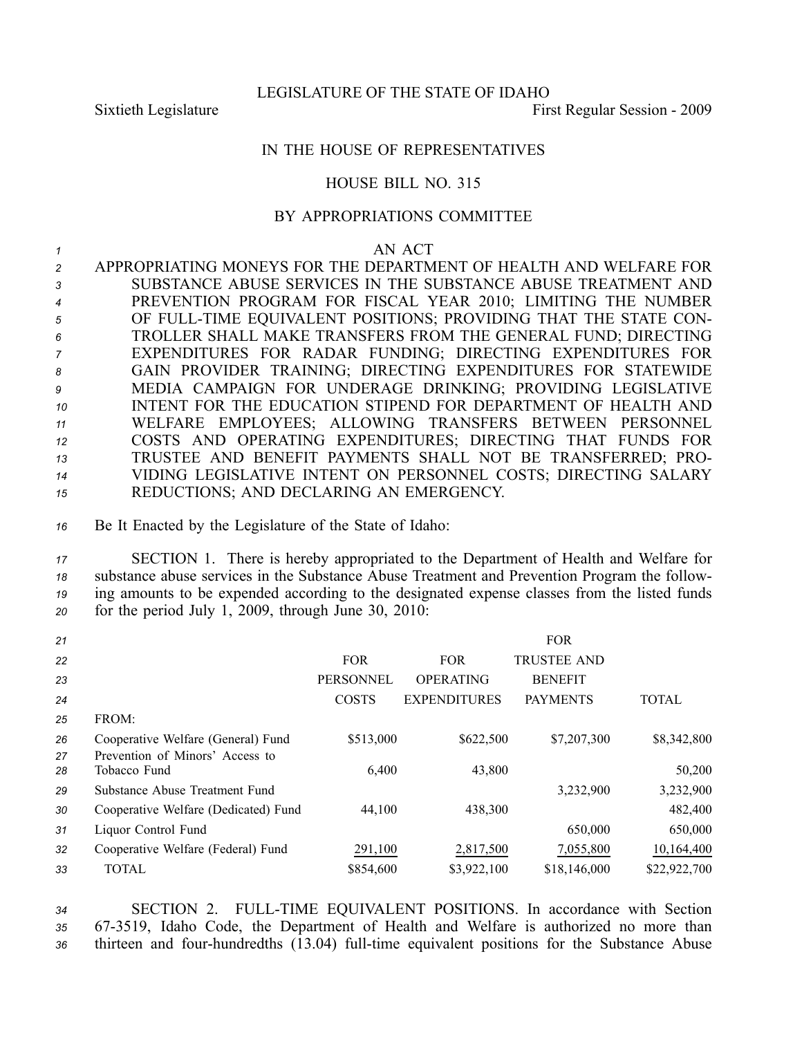LEGISLATURE OF THE STATE OF IDAHO

Sixtieth Legislature First Regular Session - 2009

## IN THE HOUSE OF REPRESENTATIVES

## HOUSE BILL NO. 315

## BY APPROPRIATIONS COMMITTEE

## *1* AN ACT

 APPROPRIATING MONEYS FOR THE DEPARTMENT OF HEALTH AND WELFARE FOR SUBSTANCE ABUSE SERVICES IN THE SUBSTANCE ABUSE TREATMENT AND PREVENTION PROGRAM FOR FISCAL YEAR 2010; LIMITING THE NUMBER OF FULLTIME EQUIVALENT POSITIONS; PROVIDING THAT THE STATE CON- TROLLER SHALL MAKE TRANSFERS FROM THE GENERAL FUND; DIRECTING EXPENDITURES FOR RADAR FUNDING; DIRECTING EXPENDITURES FOR GAIN PROVIDER TRAINING; DIRECTING EXPENDITURES FOR STATEWIDE MEDIA CAMPAIGN FOR UNDERAGE DRINKING; PROVIDING LEGISLATIVE INTENT FOR THE EDUCATION STIPEND FOR DEPARTMENT OF HEALTH AND WELFARE EMPLOYEES; ALLOWING TRANSFERS BETWEEN PERSONNEL COSTS AND OPERATING EXPENDITURES; DIRECTING THAT FUNDS FOR TRUSTEE AND BENEFIT PAYMENTS SHALL NOT BE TRANSFERRED; PRO- VIDING LEGISLATIVE INTENT ON PERSONNEL COSTS; DIRECTING SALARY REDUCTIONS; AND DECLARING AN EMERGENCY.

*<sup>16</sup>* Be It Enacted by the Legislature of the State of Idaho:

 SECTION 1. There is hereby appropriated to the Department of Health and Welfare for substance abuse services in the Substance Abuse Treatment and Prevention Program the follow- ing amounts to be expended according to the designated expense classes from the listed funds for the period July 1, 2009, through June 30, 2010:

| 21       |                                                 |                  |                     | <b>FOR</b>         |              |
|----------|-------------------------------------------------|------------------|---------------------|--------------------|--------------|
| 22       |                                                 | <b>FOR</b>       | <b>FOR</b>          | <b>TRUSTEE AND</b> |              |
| 23       |                                                 | <b>PERSONNEL</b> | <b>OPERATING</b>    | <b>BENEFIT</b>     |              |
| 24       |                                                 | <b>COSTS</b>     | <b>EXPENDITURES</b> | <b>PAYMENTS</b>    | <b>TOTAL</b> |
| 25       | FROM:                                           |                  |                     |                    |              |
| 26       | Cooperative Welfare (General) Fund              | \$513,000        | \$622,500           | \$7,207,300        | \$8,342,800  |
| 27<br>28 | Prevention of Minors' Access to<br>Tobacco Fund | 6,400            | 43,800              |                    | 50,200       |
| 29       | Substance Abuse Treatment Fund                  |                  |                     | 3,232,900          | 3,232,900    |
| 30       | Cooperative Welfare (Dedicated) Fund            | 44,100           | 438,300             |                    | 482,400      |
| 31       | Liquor Control Fund                             |                  |                     | 650,000            | 650,000      |
| 32       | Cooperative Welfare (Federal) Fund              | 291,100          | 2,817,500           | 7,055,800          | 10,164,400   |
| 33       | TOTAL                                           | \$854,600        | \$3,922,100         | \$18,146,000       | \$22,922,700 |

*<sup>34</sup>* SECTION 2. FULLTIME EQUIVALENT POSITIONS. In accordance with Section *<sup>35</sup>* 673519, Idaho Code, the Department of Health and Welfare is authorized no more than 36 thirteen and four-hundredths (13.04) full-time equivalent positions for the Substance Abuse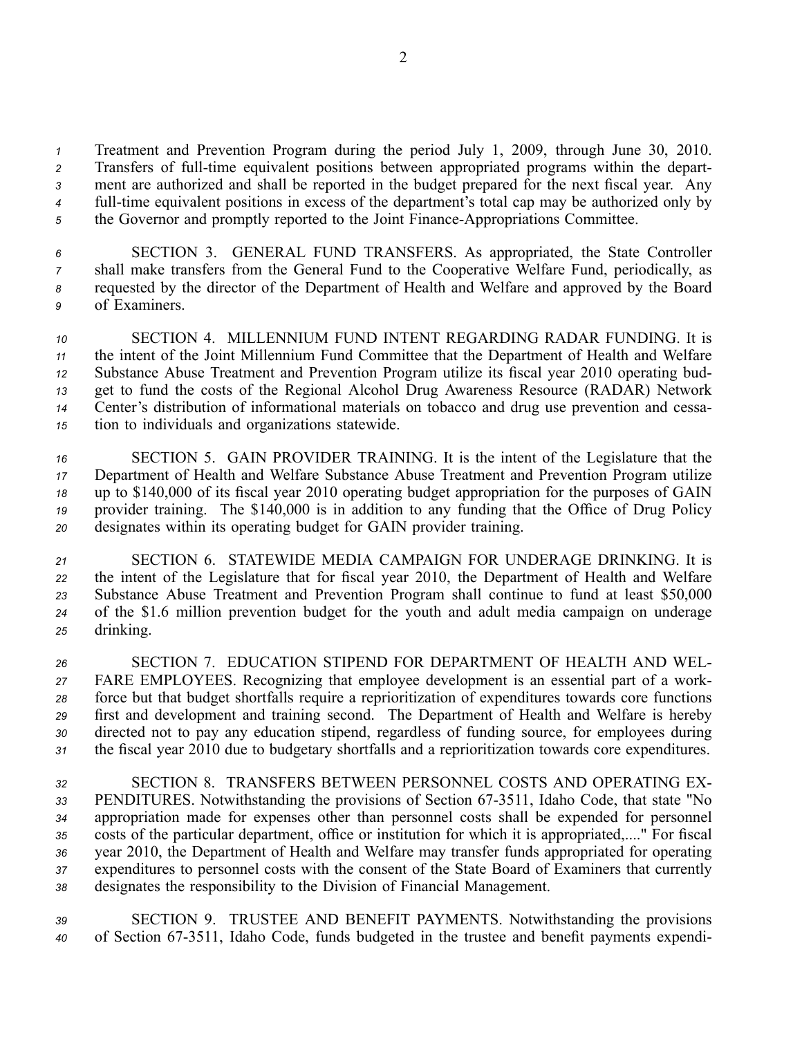*<sup>1</sup>* Treatment and Prevention Program during the period July 1, 2009, through June 30, 2010. 2 Transfers of full-time equivalent positions between appropriated programs within the depart-*<sup>3</sup>* ment are authorized and shall be reported in the budget prepared for the next fiscal year. Any *4* full-time equivalent positions in excess of the department's total cap may be authorized only by <sup>5</sup> the Governor and promptly reported to the Joint Finance-Appropriations Committee.

 SECTION 3. GENERAL FUND TRANSFERS. As appropriated, the State Controller shall make transfers from the General Fund to the Cooperative Welfare Fund, periodically, as requested by the director of the Department of Health and Welfare and approved by the Board of Examiners.

 SECTION 4. MILLENNIUM FUND INTENT REGARDING RADAR FUNDING. It is the intent of the Joint Millennium Fund Committee that the Department of Health and Welfare Substance Abuse Treatment and Prevention Program utilize its fiscal year 2010 operating bud- ge<sup>t</sup> to fund the costs of the Regional Alcohol Drug Awareness Resource (RADAR) Network Center's distribution of informational materials on tobacco and drug use prevention and cessa-tion to individuals and organizations statewide.

 SECTION 5. GAIN PROVIDER TRAINING. It is the intent of the Legislature that the Department of Health and Welfare Substance Abuse Treatment and Prevention Program utilize up to \$140,000 of its fiscal year 2010 operating budget appropriation for the purposes of GAIN provider training. The \$140,000 is in addition to any funding that the Office of Drug Policy designates within its operating budget for GAIN provider training.

 SECTION 6. STATEWIDE MEDIA CAMPAIGN FOR UNDERAGE DRINKING. It is the intent of the Legislature that for fiscal year 2010, the Department of Health and Welfare Substance Abuse Treatment and Prevention Program shall continue to fund at least \$50,000 of the \$1.6 million prevention budget for the youth and adult media campaign on underage drinking.

 SECTION 7. EDUCATION STIPEND FOR DEPARTMENT OF HEALTH AND WEL- FARE EMPLOYEES. Recognizing that employee development is an essential par<sup>t</sup> of <sup>a</sup> work- force but that budget shortfalls require <sup>a</sup> reprioritization of expenditures towards core functions first and development and training second. The Department of Health and Welfare is hereby directed not to pay any education stipend, regardless of funding source, for employees during the fiscal year 2010 due to budgetary shortfalls and <sup>a</sup> reprioritization towards core expenditures.

 SECTION 8. TRANSFERS BETWEEN PERSONNEL COSTS AND OPERATING EX-33 PENDITURES. Notwithstanding the provisions of Section 67-3511, Idaho Code, that state "No appropriation made for expenses other than personnel costs shall be expended for personnel costs of the particular department, office or institution for which it is appropriated,...." For fiscal year 2010, the Department of Health and Welfare may transfer funds appropriated for operating expenditures to personnel costs with the consent of the State Board of Examiners that currently designates the responsibility to the Division of Financial Management.

*<sup>39</sup>* SECTION 9. TRUSTEE AND BENEFIT PAYMENTS. Notwithstanding the provisions 40 of Section 67-3511, Idaho Code, funds budgeted in the trustee and benefit payments expendi-